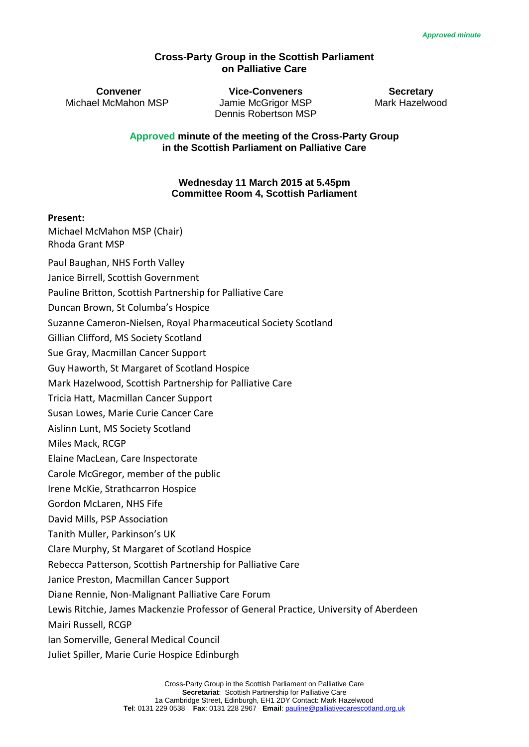#### **Cross-Party Group in the Scottish Parliament on Palliative Care**

**Convener Vice-Conveners Secretary** Michael McMahon MSP Jamie McGrigor MSP Mark Hazelwood Dennis Robertson MSP

**Approved minute of the meeting of the Cross-Party Group in the Scottish Parliament on Palliative Care** 

#### **Wednesday 11 March 2015 at 5.45pm Committee Room 4, Scottish Parliament**

#### **Present:**

Michael McMahon MSP (Chair) Rhoda Grant MSP

Paul Baughan, NHS Forth Valley

Janice Birrell, Scottish Government

Pauline Britton, Scottish Partnership for Palliative Care

Duncan Brown, St Columba's Hospice

Suzanne Cameron-Nielsen, Royal Pharmaceutical Society Scotland

Gillian Clifford, MS Society Scotland

Sue Gray, Macmillan Cancer Support

Guy Haworth, St Margaret of Scotland Hospice

Mark Hazelwood, Scottish Partnership for Palliative Care

Tricia Hatt, Macmillan Cancer Support

Susan Lowes, Marie Curie Cancer Care

Aislinn Lunt, MS Society Scotland

Miles Mack, RCGP

Elaine MacLean, Care Inspectorate

Carole McGregor, member of the public

Irene McKie, Strathcarron Hospice

Gordon McLaren, NHS Fife

David Mills, PSP Association

Tanith Muller, Parkinson's UK

Clare Murphy, St Margaret of Scotland Hospice

Rebecca Patterson, Scottish Partnership for Palliative Care

Janice Preston, Macmillan Cancer Support

Diane Rennie, Non-Malignant Palliative Care Forum

Lewis Ritchie, James Mackenzie Professor of General Practice, University of Aberdeen

Mairi Russell, RCGP

Ian Somerville, General Medical Council

Juliet Spiller, Marie Curie Hospice Edinburgh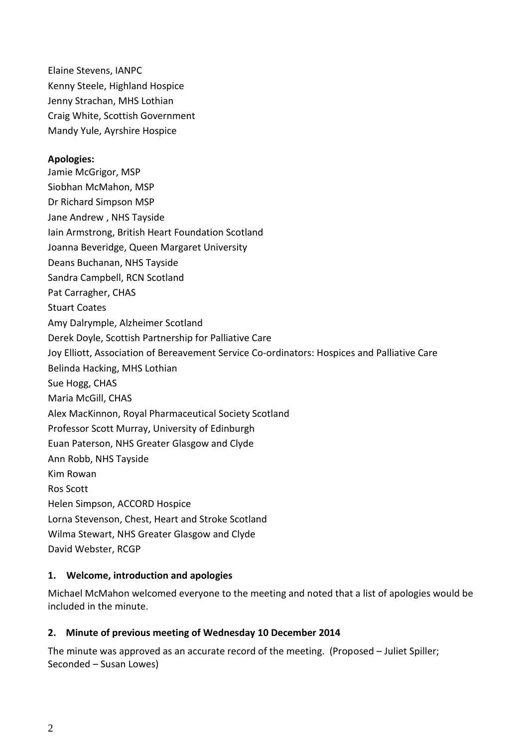Elaine Stevens, IANPC Kenny Steele, Highland Hospice Jenny Strachan, MHS Lothian Craig White, Scottish Government Mandy Yule, Ayrshire Hospice

#### **Apologies:**

Jamie McGrigor, MSP Siobhan McMahon, MSP Dr Richard Simpson MSP Jane Andrew , NHS Tayside Iain Armstrong, British Heart Foundation Scotland Joanna Beveridge, Queen Margaret University Deans Buchanan, NHS Tayside Sandra Campbell, RCN Scotland Pat Carragher, CHAS Stuart Coates Amy Dalrymple, Alzheimer Scotland Derek Doyle, Scottish Partnership for Palliative Care Joy Elliott, Association of Bereavement Service Co-ordinators: Hospices and Palliative Care Belinda Hacking, MHS Lothian Sue Hogg, CHAS Maria McGill, CHAS Alex MacKinnon, Royal Pharmaceutical Society Scotland Professor Scott Murray, University of Edinburgh Euan Paterson, NHS Greater Glasgow and Clyde Ann Robb, NHS Tayside Kim Rowan Ros Scott Helen Simpson, ACCORD Hospice Lorna Stevenson, Chest, Heart and Stroke Scotland Wilma Stewart, NHS Greater Glasgow and Clyde David Webster, RCGP

#### **1. Welcome, introduction and apologies**

Michael McMahon welcomed everyone to the meeting and noted that a list of apologies would be included in the minute.

#### **2. Minute of previous meeting of Wednesday 10 December 2014**

The minute was approved as an accurate record of the meeting. (Proposed – Juliet Spiller; Seconded – Susan Lowes)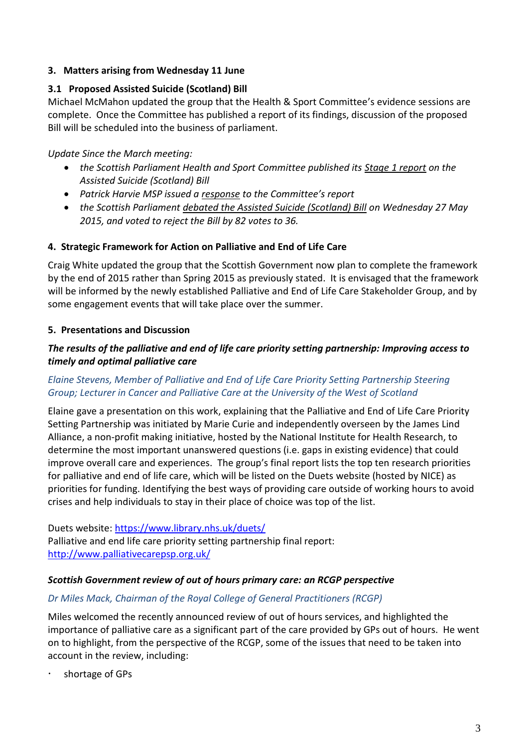## **3. Matters arising from Wednesday 11 June**

# **3.1 Proposed Assisted Suicide (Scotland) Bill**

Michael McMahon updated the group that the Health & Sport Committee's evidence sessions are complete. Once the Committee has published a report of its findings, discussion of the proposed Bill will be scheduled into the business of parliament.

*Update Since the March meeting:*

- *the Scottish Parliament Health and Sport Committee published its [Stage 1 report](http://www.palliativecarescotland.org.uk/go.php?id=3913) on the Assisted Suicide (Scotland) Bill*
- *Patrick Harvie MSP issued a [response](http://www.palliativecarescotland.org.uk/go.php?id=3914) to the Committee's report*
- *the Scottish Parliament [debated the Assisted Suicide \(Scotland\) Bill](http://www.palliativecarescotland.org.uk/go.php?id=3915) on Wednesday 27 May 2015, and voted to reject the Bill by 82 votes to 36.*

# **4. Strategic Framework for Action on Palliative and End of Life Care**

Craig White updated the group that the Scottish Government now plan to complete the framework by the end of 2015 rather than Spring 2015 as previously stated. It is envisaged that the framework will be informed by the newly established Palliative and End of Life Care Stakeholder Group, and by some engagement events that will take place over the summer.

# **5. Presentations and Discussion**

# *The results of the palliative and end of life care priority setting partnership: Improving access to timely and optimal palliative care*

# *Elaine Stevens, Member of Palliative and End of Life Care Priority Setting Partnership Steering Group; Lecturer in Cancer and Palliative Care at the University of the West of Scotland*

Elaine gave a presentation on this work, explaining that the Palliative and End of Life Care Priority Setting Partnership was initiated by Marie Curie and independently overseen by the James Lind Alliance, a non-profit making initiative, hosted by the National Institute for Health Research, to determine the most important unanswered questions (i.e. gaps in existing evidence) that could improve overall care and experiences. The group's final report lists the top ten research priorities for palliative and end of life care, which will be listed on the Duets website (hosted by NICE) as priorities for funding. Identifying the best ways of providing care outside of working hours to avoid crises and help individuals to stay in their place of choice was top of the list.

Duets website:<https://www.library.nhs.uk/duets/> Palliative and end life care priority setting partnership final report: <http://www.palliativecarepsp.org.uk/>

#### *Scottish Government review of out of hours primary care: an RCGP perspective*

# *Dr Miles Mack, Chairman of the Royal College of General Practitioners (RCGP)*

Miles welcomed the recently announced review of out of hours services, and highlighted the importance of palliative care as a significant part of the care provided by GPs out of hours. He went on to highlight, from the perspective of the RCGP, some of the issues that need to be taken into account in the review, including:

shortage of GPs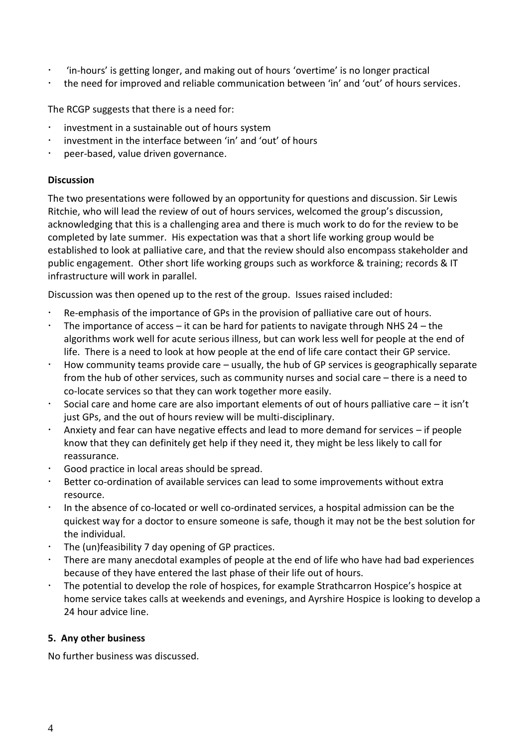- 'in-hours' is getting longer, and making out of hours 'overtime' is no longer practical
- the need for improved and reliable communication between 'in' and 'out' of hours services.

The RCGP suggests that there is a need for:

- investment in a sustainable out of hours system
- investment in the interface between 'in' and 'out' of hours
- peer-based, value driven governance.

## **Discussion**

The two presentations were followed by an opportunity for questions and discussion. Sir Lewis Ritchie, who will lead the review of out of hours services, welcomed the group's discussion, acknowledging that this is a challenging area and there is much work to do for the review to be completed by late summer. His expectation was that a short life working group would be established to look at palliative care, and that the review should also encompass stakeholder and public engagement. Other short life working groups such as workforce & training; records & IT infrastructure will work in parallel.

Discussion was then opened up to the rest of the group. Issues raised included:

- Re-emphasis of the importance of GPs in the provision of palliative care out of hours.
- The importance of access it can be hard for patients to navigate through NHS 24 the algorithms work well for acute serious illness, but can work less well for people at the end of life. There is a need to look at how people at the end of life care contact their GP service.
- How community teams provide care usually, the hub of GP services is geographically separate from the hub of other services, such as community nurses and social care – there is a need to co-locate services so that they can work together more easily.
- Social care and home care are also important elements of out of hours palliative care it isn't just GPs, and the out of hours review will be multi-disciplinary.
- Anxiety and fear can have negative effects and lead to more demand for services if people know that they can definitely get help if they need it, they might be less likely to call for reassurance.
- Good practice in local areas should be spread.
- Better co-ordination of available services can lead to some improvements without extra resource.
- In the absence of co-located or well co-ordinated services, a hospital admission can be the quickest way for a doctor to ensure someone is safe, though it may not be the best solution for the individual.
- The (un)feasibility 7 day opening of GP practices.
- There are many anecdotal examples of people at the end of life who have had bad experiences because of they have entered the last phase of their life out of hours.
- The potential to develop the role of hospices, for example Strathcarron Hospice's hospice at home service takes calls at weekends and evenings, and Ayrshire Hospice is looking to develop a 24 hour advice line.

#### **5. Any other business**

No further business was discussed.